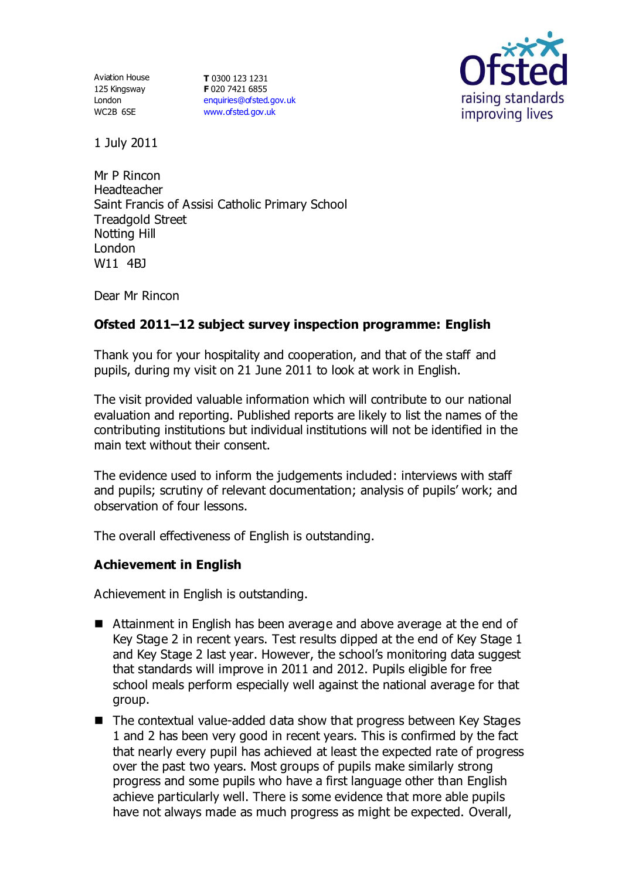Aviation House 125 Kingsway London WC2B 6SE

**T** 0300 123 1231 **F** 020 7421 6855 [enquiries@ofsted.gov.uk](mailto:enquiries@ofsted.gov.uk) [www.ofsted.gov.uk](http://www.ofsted.gov.uk/)



1 July 2011

Mr P Rincon Headteacher Saint Francis of Assisi Catholic Primary School Treadgold Street Notting Hill London W11 4BJ

Dear Mr Rincon

# **Ofsted 2011–12 subject survey inspection programme: English**

Thank you for your hospitality and cooperation, and that of the staff and pupils, during my visit on 21 June 2011 to look at work in English.

The visit provided valuable information which will contribute to our national evaluation and reporting. Published reports are likely to list the names of the contributing institutions but individual institutions will not be identified in the main text without their consent.

The evidence used to inform the judgements included: interviews with staff and pupils; scrutiny of relevant documentation; analysis of pupils' work; and observation of four lessons.

The overall effectiveness of English is outstanding.

# **Achievement in English**

Achievement in English is outstanding.

- Attainment in English has been average and above average at the end of Key Stage 2 in recent years. Test results dipped at the end of Key Stage 1 and Key Stage 2 last year. However, the school's monitoring data suggest that standards will improve in 2011 and 2012. Pupils eligible for free school meals perform especially well against the national average for that group.
- The contextual value-added data show that progress between Key Stages 1 and 2 has been very good in recent years. This is confirmed by the fact that nearly every pupil has achieved at least the expected rate of progress over the past two years. Most groups of pupils make similarly strong progress and some pupils who have a first language other than English achieve particularly well. There is some evidence that more able pupils have not always made as much progress as might be expected. Overall,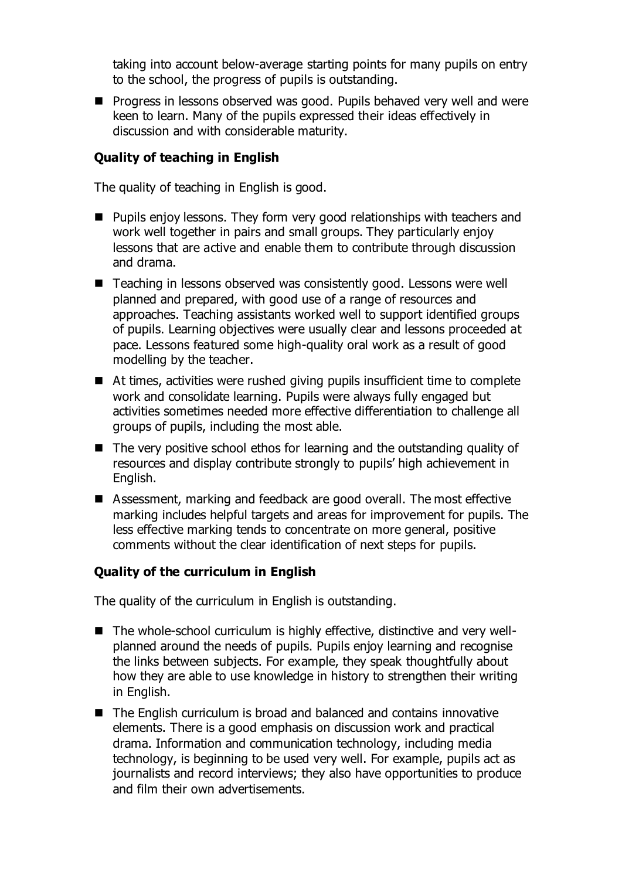taking into account below-average starting points for many pupils on entry to the school, the progress of pupils is outstanding.

**Progress in lessons observed was good. Pupils behaved very well and were** keen to learn. Many of the pupils expressed their ideas effectively in discussion and with considerable maturity.

## **Quality of teaching in English**

The quality of teaching in English is good.

- **Pupils enjoy lessons. They form very good relationships with teachers and** work well together in pairs and small groups. They particularly enjoy lessons that are active and enable them to contribute through discussion and drama.
- Teaching in lessons observed was consistently good. Lessons were well planned and prepared, with good use of a range of resources and approaches. Teaching assistants worked well to support identified groups of pupils. Learning objectives were usually clear and lessons proceeded at pace. Lessons featured some high-quality oral work as a result of good modelling by the teacher.
- At times, activities were rushed giving pupils insufficient time to complete work and consolidate learning. Pupils were always fully engaged but activities sometimes needed more effective differentiation to challenge all groups of pupils, including the most able.
- The very positive school ethos for learning and the outstanding quality of resources and display contribute strongly to pupils' high achievement in English.
- Assessment, marking and feedback are good overall. The most effective marking includes helpful targets and areas for improvement for pupils. The less effective marking tends to concentrate on more general, positive comments without the clear identification of next steps for pupils.

### **Quality of the curriculum in English**

The quality of the curriculum in English is outstanding.

- The whole-school curriculum is highly effective, distinctive and very wellplanned around the needs of pupils. Pupils enjoy learning and recognise the links between subjects. For example, they speak thoughtfully about how they are able to use knowledge in history to strengthen their writing in English.
- The English curriculum is broad and balanced and contains innovative elements. There is a good emphasis on discussion work and practical drama. Information and communication technology, including media technology, is beginning to be used very well. For example, pupils act as journalists and record interviews; they also have opportunities to produce and film their own advertisements.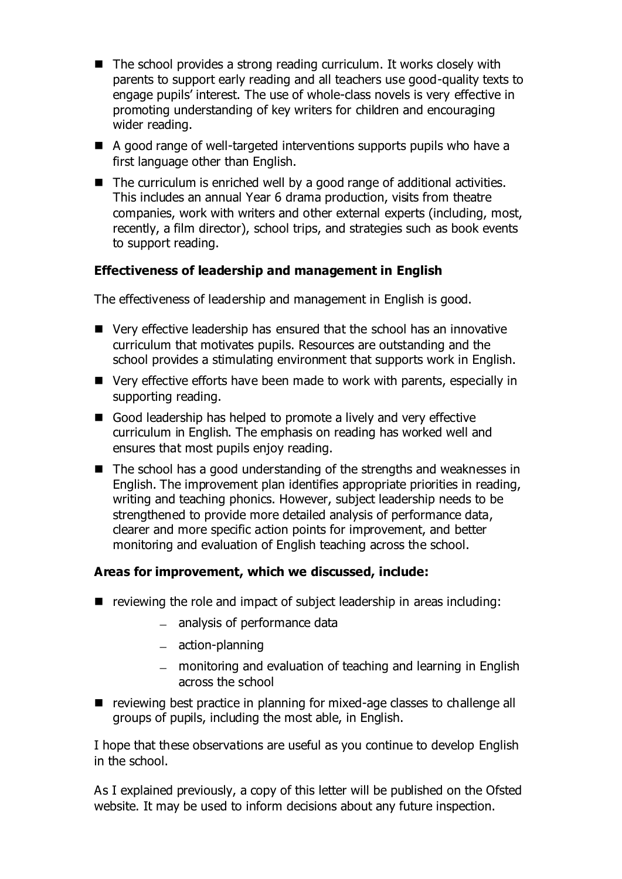- $\blacksquare$  The school provides a strong reading curriculum. It works closely with parents to support early reading and all teachers use good-quality texts to engage pupils' interest. The use of whole-class novels is very effective in promoting understanding of key writers for children and encouraging wider reading.
- $\blacksquare$  A good range of well-targeted interventions supports pupils who have a first language other than English.
- $\blacksquare$  The curriculum is enriched well by a good range of additional activities. This includes an annual Year 6 drama production, visits from theatre companies, work with writers and other external experts (including, most, recently, a film director), school trips, and strategies such as book events to support reading.

# **Effectiveness of leadership and management in English**

The effectiveness of leadership and management in English is good.

- Very effective leadership has ensured that the school has an innovative curriculum that motivates pupils. Resources are outstanding and the school provides a stimulating environment that supports work in English.
- Very effective efforts have been made to work with parents, especially in supporting reading.
- Good leadership has helped to promote a lively and very effective curriculum in English. The emphasis on reading has worked well and ensures that most pupils enjoy reading.
- $\blacksquare$  The school has a good understanding of the strengths and weaknesses in English. The improvement plan identifies appropriate priorities in reading, writing and teaching phonics. However, subject leadership needs to be strengthened to provide more detailed analysis of performance data, clearer and more specific action points for improvement, and better monitoring and evaluation of English teaching across the school.

### **Areas for improvement, which we discussed, include:**

- $\blacksquare$  reviewing the role and impact of subject leadership in areas including:
	- analysis of performance data
	- $-$  action-planning
	- monitoring and evaluation of teaching and learning in English across the school
- reviewing best practice in planning for mixed-age classes to challenge all groups of pupils, including the most able, in English.

I hope that these observations are useful as you continue to develop English in the school.

As I explained previously, a copy of this letter will be published on the Ofsted website. It may be used to inform decisions about any future inspection.